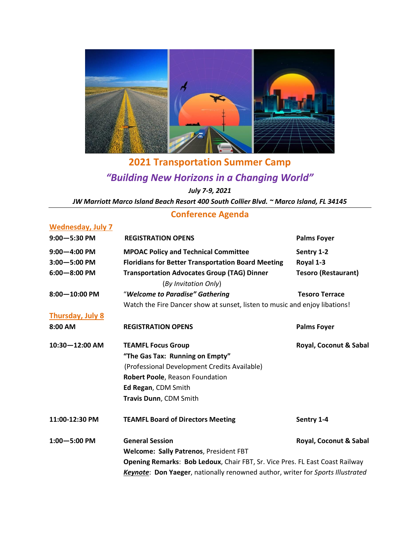

## **2021 Transportation Summer Camp** *"Building New Horizons in a Changing World" July 7-9, 2021*

*JW Marriott Marco Island Beach Resort 400 South Collier Blvd. ~ Marco Island, FL 34145*

## **Conference Agenda**

| <b>Wednesday, July 7</b> |                                                                                |                            |  |
|--------------------------|--------------------------------------------------------------------------------|----------------------------|--|
| $9:00 - 5:30$ PM         | <b>REGISTRATION OPENS</b>                                                      | <b>Palms Foyer</b>         |  |
| $9:00 - 4:00$ PM         | <b>MPOAC Policy and Technical Committee</b>                                    | Sentry 1-2                 |  |
| $3:00 - 5:00$ PM         | <b>Floridians for Better Transportation Board Meeting</b>                      | Royal 1-3                  |  |
| $6:00 - 8:00$ PM         | <b>Transportation Advocates Group (TAG) Dinner</b><br>(By Invitation Only)     | <b>Tesoro (Restaurant)</b> |  |
| $8:00 - 10:00$ PM        | "Welcome to Paradise" Gathering                                                | <b>Tesoro Terrace</b>      |  |
|                          | Watch the Fire Dancer show at sunset, listen to music and enjoy libations!     |                            |  |
| <b>Thursday, July 8</b>  |                                                                                |                            |  |
| 8:00 AM                  | <b>REGISTRATION OPENS</b>                                                      | <b>Palms Foyer</b>         |  |
| 10:30-12:00 AM           | <b>TEAMFL Focus Group</b>                                                      | Royal, Coconut & Sabal     |  |
|                          | "The Gas Tax: Running on Empty"                                                |                            |  |
|                          | (Professional Development Credits Available)                                   |                            |  |
|                          | Robert Poole, Reason Foundation                                                |                            |  |
|                          | Ed Regan, CDM Smith                                                            |                            |  |
|                          | Travis Dunn, CDM Smith                                                         |                            |  |
| 11:00-12:30 PM           | <b>TEAMFL Board of Directors Meeting</b>                                       | Sentry 1-4                 |  |
| $1:00 - 5:00$ PM         | <b>General Session</b>                                                         | Royal, Coconut & Sabal     |  |
|                          | Welcome: Sally Patrenos, President FBT                                         |                            |  |
|                          | Opening Remarks: Bob Ledoux, Chair FBT, Sr. Vice Pres. FL East Coast Railway   |                            |  |
|                          | Keynote: Don Yaeger, nationally renowned author, writer for Sports Illustrated |                            |  |